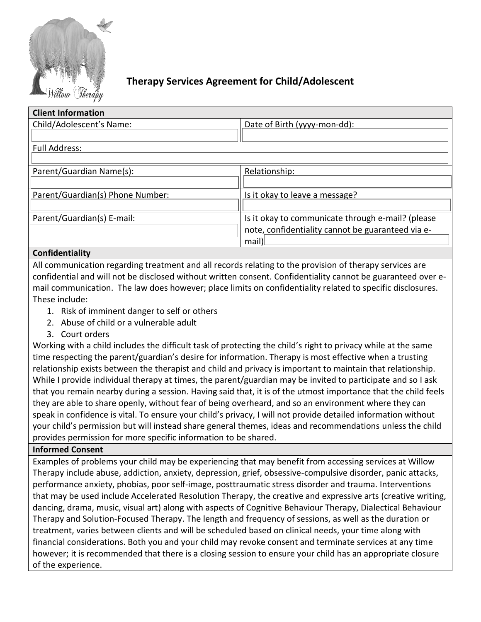

# **Therapy Services Agreement for Child/Adolescent**

| <b>Client Information</b>        |                                                   |
|----------------------------------|---------------------------------------------------|
| Child/Adolescent's Name:         | Date of Birth (yyyy-mon-dd):                      |
|                                  |                                                   |
| <b>Full Address:</b>             |                                                   |
|                                  |                                                   |
| Parent/Guardian Name(s):         | Relationship:                                     |
|                                  |                                                   |
| Parent/Guardian(s) Phone Number: | Is it okay to leave a message?                    |
|                                  |                                                   |
| Parent/Guardian(s) E-mail:       | Is it okay to communicate through e-mail? (please |
|                                  | note, confidentiality cannot be guaranteed via e- |
|                                  | mail)                                             |

# **Confidentiality**

All communication regarding treatment and all records relating to the provision of therapy services are confidential and will not be disclosed without written consent. Confidentiality cannot be guaranteed over email communication. The law does however; place limits on confidentiality related to specific disclosures. These include:

- 1. Risk of imminent danger to self or others
- 2. Abuse of child or a vulnerable adult
- 3. Court orders

Working with a child includes the difficult task of protecting the child's right to privacy while at the same time respecting the parent/guardian's desire for information. Therapy is most effective when a trusting relationship exists between the therapist and child and privacy is important to maintain that relationship. While I provide individual therapy at times, the parent/guardian may be invited to participate and so I ask that you remain nearby during a session. Having said that, it is of the utmost importance that the child feels they are able to share openly, without fear of being overheard, and so an environment where they can speak in confidence is vital. To ensure your child's privacy, I will not provide detailed information without your child's permission but will instead share general themes, ideas and recommendations unless the child provides permission for more specific information to be shared.

# **Informed Consent**

Examples of problems your child may be experiencing that may benefit from accessing services at Willow Therapy include abuse, addiction, anxiety, depression, grief, obsessive-compulsive disorder, panic attacks, performance anxiety, phobias, poor self-image, posttraumatic stress disorder and trauma. Interventions that may be used include Accelerated Resolution Therapy, the creative and expressive arts (creative writing, dancing, drama, music, visual art) along with aspects of Cognitive Behaviour Therapy, Dialectical Behaviour Therapy and Solution-Focused Therapy. The length and frequency of sessions, as well as the duration or treatment, varies between clients and will be scheduled based on clinical needs, your time along with financial considerations. Both you and your child may revoke consent and terminate services at any time however; it is recommended that there is a closing session to ensure your child has an appropriate closure of the experience.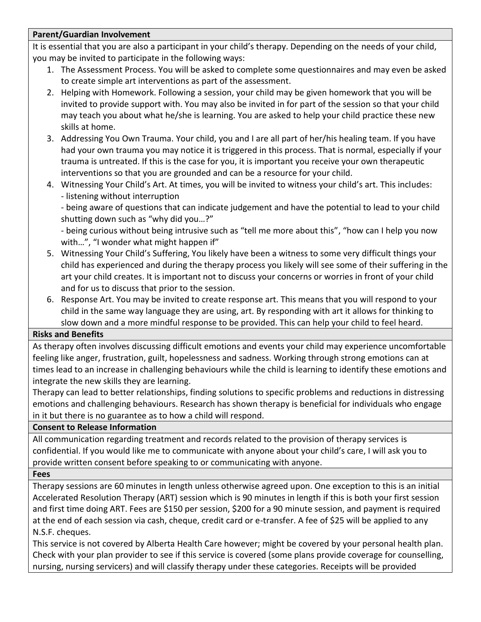# **Parent/Guardian Involvement**

It is essential that you are also a participant in your child's therapy. Depending on the needs of your child, you may be invited to participate in the following ways:

- 1. The Assessment Process. You will be asked to complete some questionnaires and may even be asked to create simple art interventions as part of the assessment.
- 2. Helping with Homework. Following a session, your child may be given homework that you will be invited to provide support with. You may also be invited in for part of the session so that your child may teach you about what he/she is learning. You are asked to help your child practice these new skills at home.
- 3. Addressing You Own Trauma. Your child, you and I are all part of her/his healing team. If you have had your own trauma you may notice it is triggered in this process. That is normal, especially if your trauma is untreated. If this is the case for you, it is important you receive your own therapeutic interventions so that you are grounded and can be a resource for your child.
- 4. Witnessing Your Child's Art. At times, you will be invited to witness your child's art. This includes: - listening without interruption

- being aware of questions that can indicate judgement and have the potential to lead to your child shutting down such as "why did you…?"

- being curious without being intrusive such as "tell me more about this", "how can I help you now with...", "I wonder what might happen if"

- 5. Witnessing Your Child's Suffering, You likely have been a witness to some very difficult things your child has experienced and during the therapy process you likely will see some of their suffering in the art your child creates. It is important not to discuss your concerns or worries in front of your child and for us to discuss that prior to the session.
- 6. Response Art. You may be invited to create response art. This means that you will respond to your child in the same way language they are using, art. By responding with art it allows for thinking to slow down and a more mindful response to be provided. This can help your child to feel heard.

# **Risks and Benefits**

As therapy often involves discussing difficult emotions and events your child may experience uncomfortable feeling like anger, frustration, guilt, hopelessness and sadness. Working through strong emotions can at times lead to an increase in challenging behaviours while the child is learning to identify these emotions and integrate the new skills they are learning.

Therapy can lead to better relationships, finding solutions to specific problems and reductions in distressing emotions and challenging behaviours. Research has shown therapy is beneficial for individuals who engage in it but there is no guarantee as to how a child will respond.

#### **Consent to Release Information**

All communication regarding treatment and records related to the provision of therapy services is confidential. If you would like me to communicate with anyone about your child's care, I will ask you to provide written consent before speaking to or communicating with anyone.

#### **Fees**

Therapy sessions are 60 minutes in length unless otherwise agreed upon. One exception to this is an initial Accelerated Resolution Therapy (ART) session which is 90 minutes in length if this is both your first session and first time doing ART. Fees are \$150 per session, \$200 for a 90 minute session, and payment is required at the end of each session via cash, cheque, credit card or e-transfer. A fee of \$25 will be applied to any N.S.F. cheques.

This service is not covered by Alberta Health Care however; might be covered by your personal health plan. Check with your plan provider to see if this service is covered (some plans provide coverage for counselling, nursing, nursing servicers) and will classify therapy under these categories. Receipts will be provided